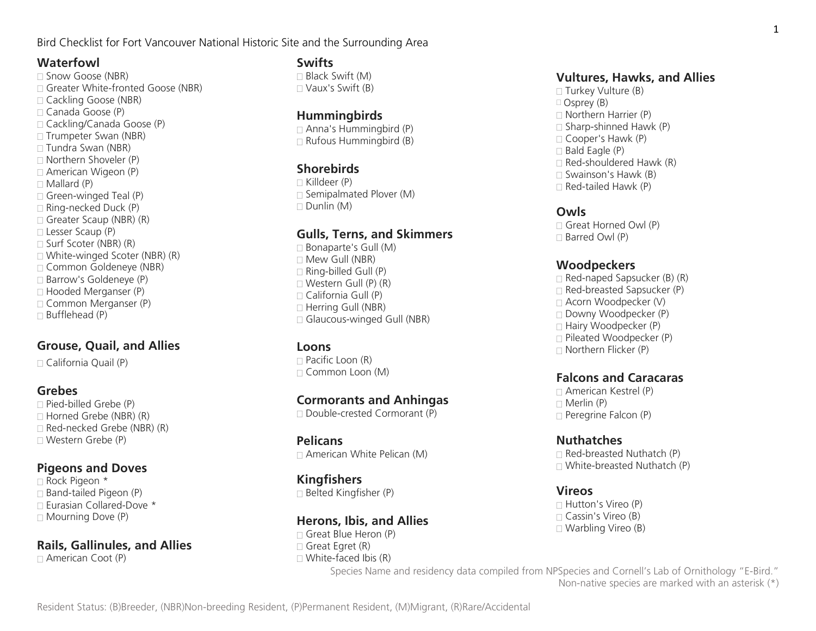Bird Checklist for Fort Vancouver National Historic Site and the Surrounding Area

### **Waterfowl**

□ Snow Goose (NBR) □ Greater White-fronted Goose (NBR) □ Cackling Goose (NBR) Canada Goose (P) Cackling/Canada Goose (P)  $\Box$  Trumpeter Swan (NBR)  $\Box$  Tundra Swan (NBR) Northern Shoveler (P) □ American Wigeon (P)  $\Box$  Mallard (P)  $\Box$  Green-winged Teal (P)  $\Box$  Ring-necked Duck (P)  $\Box$  Greater Scaup (NBR) (R) Lesser Scaup (P)  $\Box$  Surf Scoter (NBR) (R) White-winged Scoter (NBR) (R) Common Goldeneye (NBR) □ Barrow's Goldeneye (P)  $\Box$  Hooded Merganser (P) □ Common Merganser (P)  $\Box$  Bufflehead (P)

# **Grouse, Quail, and Allies**

□ California Quail (P)

#### **Grebes**

 $\Box$  Pied-billed Grebe (P)  $\Box$  Horned Grebe (NBR) (R)  $\Box$  Red-necked Grebe (NBR)  $(R)$ Western Grebe (P)

### **Pigeons and Doves**

 Rock Pigeon \*  $\Box$  Band-tailed Pigeon (P)  $\Box$  Eurasian Collared-Dove  $*$  $\Box$  Mourning Dove (P)

# **Rails, Gallinules, and Allies**

American Coot (P)

### **Swifts**

 Black Swift (M) Vaux's Swift (B)

### **Hummingbirds**

 $\Box$  Anna's Hummingbird (P)  $\Box$  Rufous Hummingbird (B)

### **Shorebirds**

 $\sqcap$  Killdeer (P)  $\Box$  Semipalmated Plover (M)  $\Box$  Dunlin (M)

### **Gulls, Terns, and Skimmers**

 $\Box$  Bonaparte's Gull (M)  $\Box$  Mew Gull (NBR)  $\Box$  Ring-billed Gull (P)  $\Box$  Western Gull (P) (R)  $\sqcap$  California Gull (P)  $\Box$  Herring Gull (NBR)  $\Box$  Glaucous-winged Gull (NBR)

#### **Loons**

 $\Box$  Pacific Loon (R) Common Loon (M)

### **Cormorants and Anhingas**

Double-crested Cormorant (P)

# **Pelicans**

 $\Box$  American White Pelican (M)

# **Kingfishers**

 $\Box$  Belted Kingfisher (P)

### **Herons, Ibis, and Allies**

Great Blue Heron (P)  $\Box$  Great Egret (R)  $\Box$  White-faced Ibis (R)

### **Vultures, Hawks, and Allies**

 $\Box$  Turkey Vulture (B)  $\Box$  Osprey (B)  $\Box$  Northern Harrier (P)  $\Box$  Sharp-shinned Hawk (P) Cooper's Hawk (P)  $\Box$  Bald Eagle (P)  $\Box$  Red-shouldered Hawk (R)  $\Box$  Swainson's Hawk (B)  $\Box$  Red-tailed Hawk (P)

#### **Owls**

 $\Box$  Great Horned Owl (P)  $\Box$  Barred Owl  $(P)$ 

#### **Woodpeckers**

 $\Box$  Red-naped Sapsucker (B) (R)  $\Box$  Red-breasted Sapsucker (P) Acorn Woodpecker (V) Downy Woodpecker (P) Hairy Woodpecker (P)  $\Box$  Pileated Woodpecker (P) Northern Flicker (P)

### **Falcons and Caracaras**

 American Kestrel (P)  $\Box$  Merlin (P)  $\Box$  Peregrine Falcon (P)

### **Nuthatches**

 $\Box$  Red-breasted Nuthatch (P)  $\Box$  White-breasted Nuthatch (P)

### **Vireos**

 $\Box$  Hutton's Vireo (P)  $\sqcap$  Cassin's Vireo (B) Warbling Vireo (B)

Species Name and residency data compiled from NPSpecies and Cornell's Lab of Ornithology "E-Bird." Non-native species are marked with an asterisk (\*)